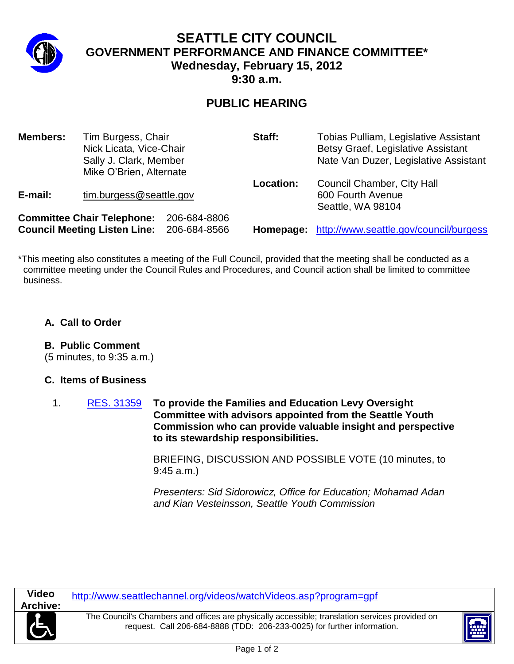

# **SEATTLE CITY COUNCIL GOVERNMENT PERFORMANCE AND FINANCE COMMITTEE\* Wednesday, February 15, 2012 9:30 a.m.**

# **PUBLIC HEARING**

| <b>Members:</b>                                                          | Tim Burgess, Chair<br>Nick Licata, Vice-Chair<br>Sally J. Clark, Member<br>Mike O'Brien, Alternate |                              | Staff:    | Tobias Pulliam, Legislative Assistant<br>Betsy Graef, Legislative Assistant<br>Nate Van Duzer, Legislative Assistant |
|--------------------------------------------------------------------------|----------------------------------------------------------------------------------------------------|------------------------------|-----------|----------------------------------------------------------------------------------------------------------------------|
| E-mail:                                                                  | tim.burgess@seattle.gov                                                                            |                              | Location: | <b>Council Chamber, City Hall</b><br>600 Fourth Avenue<br>Seattle, WA 98104                                          |
| <b>Committee Chair Telephone:</b><br><b>Council Meeting Listen Line:</b> |                                                                                                    | 206-684-8806<br>206-684-8566 |           | Homepage: http://www.seattle.gov/council/burgess                                                                     |

\*This meeting also constitutes a meeting of the Full Council, provided that the meeting shall be conducted as a committee meeting under the Council Rules and Procedures, and Council action shall be limited to committee business.

#### **A. Call to Order**

### **B. Public Comment**

(5 minutes, to 9:35 a.m.)

### **C. Items of Business**

1. [RES. 31359](http://clerk.seattle.gov/~scripts/nph-brs.exe?s1=&s3=31359&s2=&s4=&Sect4=AND&l=20&Sect5=RESNY&Sect6=HITOFF&d=RESF&p=1&u=%2F~public%2Fresny.htm&r=1&f=G) **To provide the Families and Education Levy Oversight Committee with advisors appointed from the Seattle Youth Commission who can provide valuable insight and perspective to its stewardship responsibilities.**

> BRIEFING, DISCUSSION AND POSSIBLE VOTE (10 minutes, to 9:45 a.m.)

> *Presenters: Sid Sidorowicz, Office for Education; Mohamad Adan and Kian Vesteinsson, Seattle Youth Commission*

http://www.seattlechannel.org/videos/watchVideos.asp?program=gpf

The Council's Chambers and offices are physically accessible; translation services provided on request. Call 206-684-8888 (TDD: 206-233-0025) for further information.